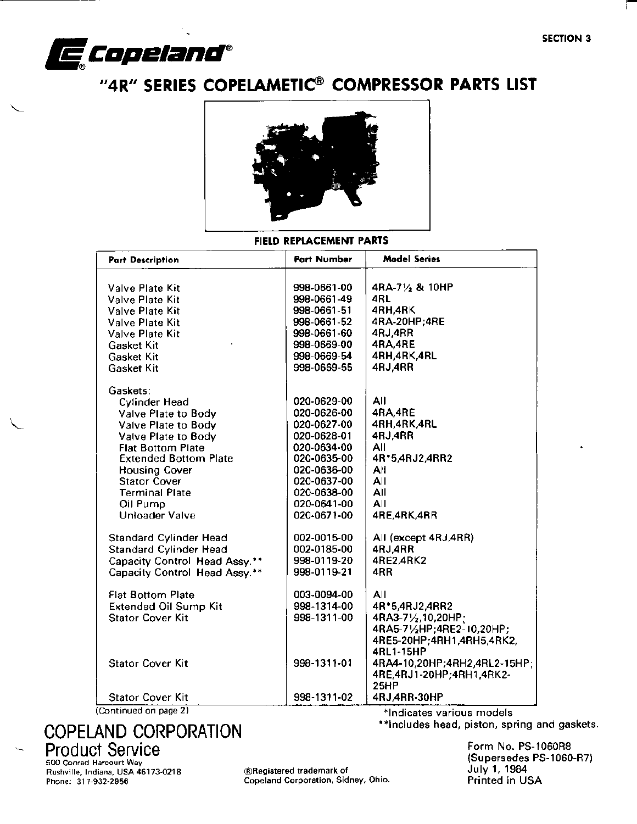

# "4R" SERIES COPELAMETIC® COMPRESSOR PARTS LIST



## FIELD REPLACEMENT PARTS

| <b>Part Description</b>       | <b>Part Number</b> | <b>Model Series</b>          |
|-------------------------------|--------------------|------------------------------|
|                               |                    |                              |
| Valve Plate Kit               | 998-0661-00        | 4RA-71/2 & 10HP              |
| Valve Plate Kit               | 998-0661-49        | 4RL                          |
| <b>Valve Plate Kit</b>        | 998-0661-51        | 4RH,4RK                      |
| <b>Valve Plate Kit</b>        | 998-0661-52        | 4RA-20HP,4RE                 |
| <b>Valve Plate Kit</b>        | 998-0661-60        | 4RJ,4RR                      |
| Gasket Kit                    | 998-0669-00        | 4RA,4RE                      |
| Gasket Kit                    | 998-0669-54        | 4RH,4RK,4RL                  |
| <b>Gasket Kit</b>             | 998-0669-55        | 4RJ.4RR                      |
| Gaskets:                      |                    |                              |
| <b>Cylinder Head</b>          | 020-0629-00        | All                          |
| Valve Plate to Body           | 020-0626-00        | 4RA,4RE                      |
| Valve Plate to Body           | 020-0627-00        | 4RH,4RK,4RL                  |
| Valve Plate to Body           | 020-0628-01        | 4RJ,4RR                      |
| <b>Flat Bottom Plate</b>      | 020-0634-00        | ΑIΙ                          |
| <b>Extended Bottom Plate</b>  | 020-0635-00        | 4R*5,4RJ2,4RR2               |
| <b>Housing Cover</b>          | 020-0636-00        | All                          |
| <b>Stator Cover</b>           | 020-0637-00        | All                          |
| <b>Terminal Plate</b>         | 020-0638-00        | All                          |
| Oil Pump                      | 020-0641-00        | All                          |
| <b>Unloader Valve</b>         | 020-0671-00        | 4RE, 4RK, 4RR                |
| <b>Standard Cylinder Head</b> | 002-0015-00        | All (except 4RJ,4RR)         |
| <b>Standard Cylinder Head</b> | 002-0185-00        | 4RJ.4RR                      |
| Capacity Control Head Assy.** | 998-0119-20        | 4RE2,4RK2                    |
| Capacity Control Head Assy.** | 998-0119-21        | 4RR                          |
| <b>Flat Bottom Plate</b>      | 003-0094-00        | All                          |
| <b>Extended Oil Sump Kit</b>  | 998-1314-00        | 4R*5,4RJ2,4RR2               |
| <b>Stator Cover Kit</b>       | 998-1311-00        | 4RA3-71/2,10,20HP;           |
|                               |                    | 4RA5-71/2HP;4RE2-10,20HP;    |
|                               |                    | 4RE5-20HP;4RH1,4RH5,4RK2,    |
|                               |                    | 4RL1-15HP                    |
| <b>Stator Cover Kit</b>       | 998-1311-01        | 4RA4-10,20HP;4RH2,4RL2-15HP; |
|                               |                    | 4RE, 4RJ1-20HP; 4RH1, 4RK2-  |
|                               |                    | <b>25HP</b>                  |
| <b>Stator Cover Kit</b>       | 998-1311-02        | 4RJ,4RR-30HP                 |
| Continued on page 2)          |                    | *Indicates various models    |

## **COPELAND CORPORATION Product Service** 500 Conrad Harcourt Way

Rushville, Indiana, USA 46173-0218 Phone: 317-932-2956

®Registered trademark of Copeland Corporation, Sidney, Ohio.

\*\*includes head, piston, spring and gaskets. Form No. PS-1060R8 (Supersedes PS-1060-R7)

July 1, 1984 Printed in USA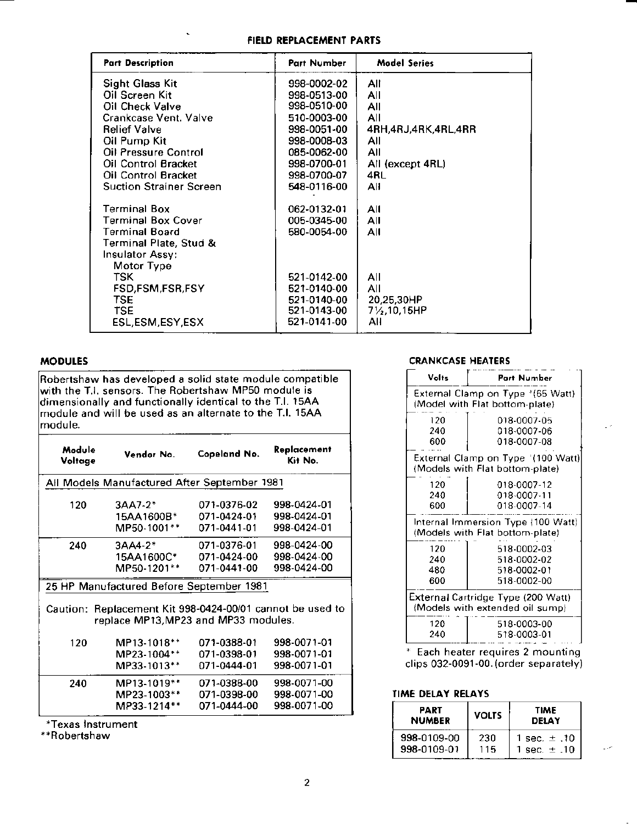#### FIELD REPLACEMENT PARTS

| <b>Part Description</b>        | <b>Part Number</b> | <b>Model Series</b>         |
|--------------------------------|--------------------|-----------------------------|
| <b>Sight Glass Kit</b>         | 998-0002-02        | All                         |
| Oil Screen Kit                 | 998-0513-00        | All                         |
| <b>Oil Check Valve</b>         | 998-0510-00        | All                         |
| Crankcase Vent. Valve          | 510-0003-00        | All                         |
| <b>Relief Valve</b>            | 998-0051-00        | 4RH,4RJ,4RK,4RL,4RR         |
| Oil Pump Kit                   | 998-0008-03        | All                         |
| Oil Pressure Control           | 085-0062-00        | All                         |
| Oil Control Bracket            | 998-0700-01        | All (except 4RL)            |
| <b>Oil Control Bracket</b>     | 998-0700-07        | 4RL                         |
| <b>Suction Strainer Screen</b> | 548-0116-00        | All                         |
| <b>Terminal Box</b>            | 062-0132-01        | All                         |
| <b>Terminal Box Cover</b>      | 005-0345-00        | All                         |
| <b>Terminal Board</b>          | 580-0054-00        | ΑIΙ                         |
| Terminal Plate, Stud &         |                    |                             |
| Insulator Assy:                |                    |                             |
| Motor Type                     |                    |                             |
| TSK.                           | 521-0142-00        | All                         |
| FSD,FSM,FSR,FSY                | 521-0140-00        | All                         |
| <b>TSE</b>                     | 521-0140-00        | 20,25,30HP                  |
| <b>TSE</b>                     | 521-0143-00        | 71/ <sub>2</sub> , 10, 15HP |
| ESL,ESM,ESY,ESX                | 521-0141-00        | All                         |

## **MODULES**

Robertshaw has developed a solid state module compatible with the T.I. sensors. The Robertshaw MP50 module is<br>dimensionally and functionally identical to the T.I. 15AA<br>module and will be used as an alternate to the T.I. 15AA module.

| Module<br>Voltage | Vendor No.                                       |             | Replacement<br>Kit No. |
|-------------------|--------------------------------------------------|-------------|------------------------|
|                   | All Models Manufactured After September 1981     |             |                        |
| 120               | 3AA7-2*                                          | 071-0376-02 | 998-0424-01            |
|                   | 15AA1600B*                                       | 071-0424-01 | 998-0424-01            |
|                   | MP50-1001**                                      | 071-0441-01 | 998-0424-01            |
| 240               | $3AA4-2*$                                        | 071-0376-01 | 998-0424-00            |
|                   | 15AA1600C*                                       | 071-0424-00 | 998-0424-00            |
|                   | MP50-1201**                                      | 071-0441-00 | 998-0424-00            |
|                   | 25 HP Manufactured Before September 1981         |             |                        |
| Caution: .        | Replacement Kit 998-0424-00/01 cannot be used to |             |                        |
|                   | replace MP13, MP23 and MP33 modules.             |             |                        |
| 120               | MP13-1018**                                      | 071-0388-01 | 998-0071-01            |
|                   | MP23-1004**                                      | 071-0398-01 | 998-0071-01            |
|                   | MP33-1013**                                      | 071-0444-01 | 998-0071-01            |
| 240               | MP13-1019**                                      | 071-0388-00 | 998-0071-00            |
|                   | MP23-1003**                                      | 071-0398-00 | 998-0071-00            |
|                   | MP33-1214**                                      | 071-0444-00 | 998-0071-00            |
|                   |                                                  |             |                        |

\*Texas Instrument

\*\*Robertshaw

#### **CRANKCASE HEATERS**

| Volts                                                                 | Part Number                                                           |  |  |
|-----------------------------------------------------------------------|-----------------------------------------------------------------------|--|--|
|                                                                       | External Clamp on Type *(65 Watt)<br>(Model with Flat bottom-plate)   |  |  |
| 120<br>240<br>600                                                     | 018-0007-05<br>018-0007-06<br>018-0007-08                             |  |  |
|                                                                       | External Clamp on Type '(100 Watt)<br>(Models with Flat bottom-plate) |  |  |
| 120<br>240<br>600                                                     | 018-0007-12<br>018-0007-11<br>018-0007-14                             |  |  |
|                                                                       | Internal Immersion Type (100 Watt)<br>(Models with Flat bottom-plate) |  |  |
| 120<br>240<br>480<br>600                                              | 518-0002-03<br>518-0002-02<br>518-0002-01<br>518-0002-00              |  |  |
| External Cartridge Type (200 Watt)<br>(Models with extended oil sump) |                                                                       |  |  |
| 120<br>240                                                            | 518-0003-00<br>518-0003-01                                            |  |  |

\* Each heater requires 2 mounting clips 032-0091-00. (order separately)

#### TIME DELAY RELAYS

| PART<br><b>NUMBER</b> | <b>VOLTS</b> | <b>TIME</b><br><b>DELAY</b> |  |
|-----------------------|--------------|-----------------------------|--|
| 998-0109-00           | 230          | 1 sec. $\pm$ .10            |  |
| 998-0109-01           | 115          | 1 sec. $\pm$ .10            |  |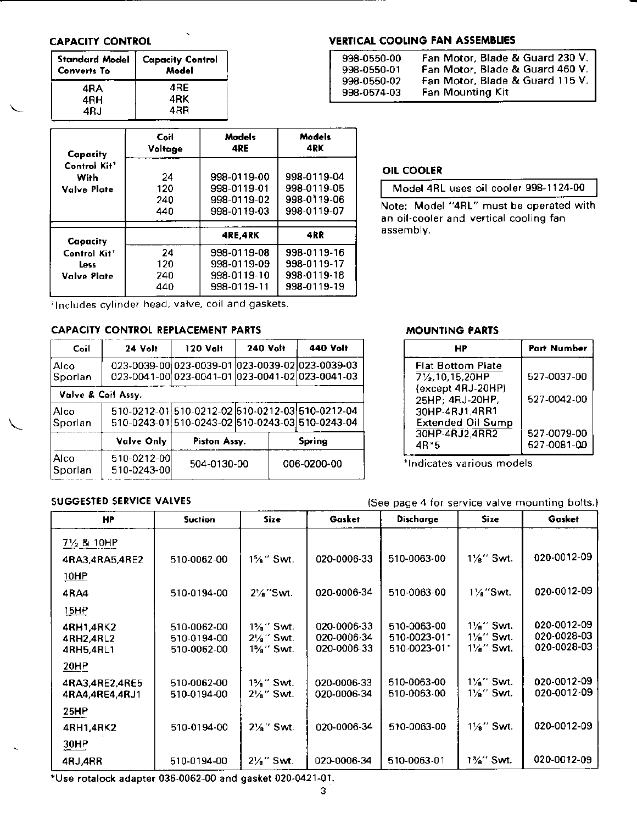## **CAPACITY CONTROL**

| Converts To | Standard Model   Capacity Control<br>Model |
|-------------|--------------------------------------------|
| 4RA         | 4RE                                        |
| 4RH         | 4RK                                        |
| 4R.I        | 4RR                                        |

| Capacity                                        | Coil<br>Voltage         | Models<br>4RE                                            | Models<br>4RK                                            |
|-------------------------------------------------|-------------------------|----------------------------------------------------------|----------------------------------------------------------|
| Control Kit <sup>*</sup><br>With<br>Valve Plate | 24<br>120<br>240<br>440 | 998-0119-00<br>998-0119-01<br>998-0119-02<br>998-0119-03 | 998-0119-04<br>998-0119-05<br>998-0119-06<br>998-0119-07 |
| Capacity                                        |                         | 4RE.4RK                                                  | 4RR                                                      |
| Control Kit <sup>+</sup><br>Less<br>Valve Plate | 24<br>120<br>240<br>440 | 998-0119-08<br>998-0119-09<br>998-0119-10<br>998-0119-11 | 998-0119-16<br>998-0119-17<br>998-0119-18<br>998-0119-19 |

#### **VERTICAL COOLING FAN ASSEMBLIES**

| 998-0550-00 | Fan Motor, Blade & Guard 230 V. |
|-------------|---------------------------------|
| 998-0550-01 | Fan Motor, Blade & Guard 460 V. |
| 998-0550-02 | Fan Motor, Blade & Guard 115 V. |
| 998-0574-03 | <b>Fan Mounting Kit</b>         |

## **OIL COOLER**

|  |  |  | Model 4RL uses oil cooler 998-1124-00 |
|--|--|--|---------------------------------------|
|--|--|--|---------------------------------------|

Note: Model "4RL" must be operated with an oil-cooler and vertical cooling fan assembly.

Includes cylinder head, valve, coil and gaskets.

## CAPACITY CONTROL REPLACEMENT PARTS

| Coil            | 24 Volt                    | 120 Volt     | <b>240 Volt</b> | <b>440 Volt</b>                                                                                    |
|-----------------|----------------------------|--------------|-----------------|----------------------------------------------------------------------------------------------------|
| Alco<br>Sporlan |                            |              |                 | 023-0039-00 023-0039-01 023-0039-02 023-0039-03<br>023-0041-00 023-0041-01 023-0041-02 023-0041-03 |
|                 | Valve & Coil Assy.         |              |                 |                                                                                                    |
| Alco<br>Sporlan |                            |              |                 | 510-0212-01 510-0212-02 510-0212-03 510-0212-04<br>510-0243-01 510-0243-02 510-0243-03 510-0243-04 |
|                 | Valve Only                 | Piston Assy. |                 | Spring                                                                                             |
| Alco<br>Sporlan | 510-0212-00<br>510-0243-00 | 504-0130-00  |                 | 006-0200-00                                                                                        |

#### **MOUNTING PARTS**

| <b>HP</b>                    | <b>Part Number</b> |
|------------------------------|--------------------|
| <b>Flat Bottom Plate</b>     |                    |
| 71/ <sub>2</sub> ,10,15,20HP | 527-0037-00        |
| (except 4RJ-20HP)            |                    |
| 25HP; 4RJ-20HP,              | 527-0042-00        |
| 30HP-4RJ1.4RR1               |                    |
| <b>Extended Oil Sump</b>     |                    |
| 30HP-4RJ2,4RR2               | 527-0079-00        |
| 4R*5                         | 527-0081-00        |

\*Indicates various models

(See page 4 for service valve mounting bolts.)

#### SUGGESTED SERVICE VALVES

| <b>HP</b>              | <b>Suction</b>             | Size:                             | Gasket                     | Discharge                    | <b>Size</b>               | Gasket                     |
|------------------------|----------------------------|-----------------------------------|----------------------------|------------------------------|---------------------------|----------------------------|
| $7\frac{1}{2}$ & 10HP  |                            |                                   |                            |                              |                           |                            |
| 4RA3,4RA5,4RE2         | 510-0062-00                | $1\%$ " Swt.                      | 020-0006-33                | 510-0063-00                  | $1\frac{1}{6}$ " Swt.     | 020-0012-09                |
| 10HP                   |                            |                                   |                            |                              |                           |                            |
| 4RA4                   | 510-0194-00                | $2\frac{1}{2}$ Swt.               | 020-0006-34                | 510-0063-00                  | $1\frac{1}{2}$ Swt.       | 020-0012-09                |
| <u>15HP</u>            |                            |                                   |                            |                              |                           |                            |
| 4RH1,4RK2              | 510-0062-00                | 1%" Swt.                          | 020-0006-33                | 510-0063-00                  | $1\frac{1}{2}$ " Swt.     | 020-0012-09                |
| 4RH2,4RL2<br>4RH5,4RL1 | 510-0194-00<br>510-0062-00 | $2\frac{1}{2}$ " Swt.<br>1%" Swt. | 020-0006-34<br>020-0006-33 | 510-0023-01*<br>510-0023-01* | $1\%$ " Swt.<br>11%" Swt. | 020-0028-03<br>020-0028-03 |
| 20HP                   |                            |                                   |                            |                              |                           |                            |
|                        |                            |                                   |                            |                              |                           |                            |
| 4RA3,4RE2,4RE5         | 510-0062-00                | 1%" Swt.                          | 020-0006-33                | 510-0063-00                  | $1\frac{1}{8}$ " Swt.     | 020-0012-09                |
| 4RA4,4RE4,4RJ1         | 510-0194-00                | $2\frac{1}{8}$ " Swt.             | 020-0006-34                | 510-0063-00                  | $1\frac{1}{8}$ " Swt.     | 020-0012-09                |
| 25HP                   |                            |                                   |                            |                              |                           |                            |
| 4RH1,4RK2              | 510-0194-00                | $2\frac{1}{8}$ " Swt.             | 020-0006-34                | 510-0063-00                  | $1\frac{1}{8}$ " Swt.     | 020-0012-09                |
| 30HP                   |                            |                                   |                            |                              |                           |                            |
| 4RJ,4RR                | 510-0194-00                | 21/ <sub>8</sub> " Swt.           | 020-0006-34                | 510-0063-01                  | 1%" Swt.                  | 020-0012-09                |

\*Use rotalock adapter 036-0062-00 and gasket 020-0421-01.